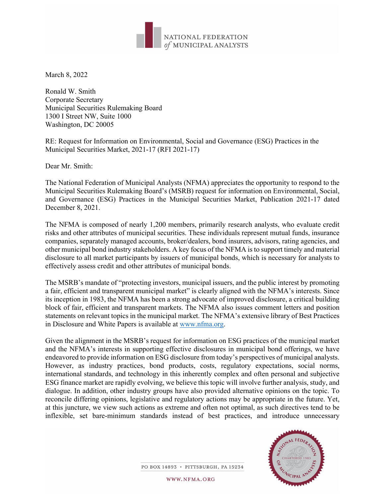

March 8, 2022

Ronald W. Smith Corporate Secretary Municipal Securities Rulemaking Board 1300 I Street NW, Suite 1000 Washington, DC 20005

RE: Request for Information on Environmental, Social and Governance (ESG) Practices in the Municipal Securities Market, 2021-17 (RFI 2021-17)

Dear Mr. Smith:

The National Federation of Municipal Analysts (NFMA) appreciates the opportunity to respond to the Municipal Securities Rulemaking Board's (MSRB) request for information on Environmental, Social, and Governance (ESG) Practices in the Municipal Securities Market, Publication 2021-17 dated December 8, 2021.

The NFMA is composed of nearly 1,200 members, primarily research analysts, who evaluate credit risks and other attributes of municipal securities. These individuals represent mutual funds, insurance companies, separately managed accounts, broker/dealers, bond insurers, advisors, rating agencies, and other municipal bond industry stakeholders. A key focus of the NFMA is to support timely and material disclosure to all market participants by issuers of municipal bonds, which is necessary for analysts to effectively assess credit and other attributes of municipal bonds.

The MSRB's mandate of "protecting investors, municipal issuers, and the public interest by promoting a fair, efficient and transparent municipal market" is clearly aligned with the NFMA's interests. Since its inception in 1983, the NFMA has been a strong advocate of improved disclosure, a critical building block of fair, efficient and transparent markets. The NFMA also issues comment letters and position statements on relevant topics in the municipal market. The NFMA's extensive library of Best Practices in Disclosure and White Papers is available at [www.nfma.org.](http://www.nfma.org/)

Given the alignment in the MSRB's request for information on ESG practices of the municipal market and the NFMA's interests in supporting effective disclosures in municipal bond offerings, we have endeavored to provide information on ESG disclosure from today's perspectives of municipal analysts. However, as industry practices, bond products, costs, regulatory expectations, social norms, international standards, and technology in this inherently complex and often personal and subjective ESG finance market are rapidly evolving, we believe this topic will involve further analysis, study, and dialogue. In addition, other industry groups have also provided alternative opinions on the topic. To reconcile differing opinions, legislative and regulatory actions may be appropriate in the future. Yet, at this juncture, we view such actions as extreme and often not optimal, as such directives tend to be inflexible, set bare-minimum standards instead of best practices, and introduce unnecessary



PO BOX 14893 · PITTSBURGH, PA 15234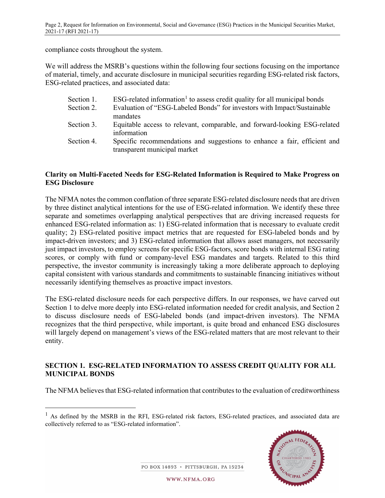compliance costs throughout the system.

We will address the MSRB's questions within the following four sections focusing on the importance of material, timely, and accurate disclosure in municipal securities regarding ESG-related risk factors, ESG-related practices, and associated data:

| Section 1. | $ESG$ -related information <sup>1</sup> to assess credit quality for all municipal bonds |
|------------|------------------------------------------------------------------------------------------|
| Section 2. | Evaluation of "ESG-Labeled Bonds" for investors with Impact/Sustainable                  |
|            | mandates                                                                                 |
| Section 3. | Equitable access to relevant, comparable, and forward-looking ESG-related                |
|            | information                                                                              |
| Section 4. | Specific recommendations and suggestions to enhance a fair, efficient and                |
|            | transparent municipal market                                                             |

### **Clarity on Multi-Faceted Needs for ESG-Related Information is Required to Make Progress on ESG Disclosure**

The NFMA notes the common conflation of three separate ESG-related disclosure needs that are driven by three distinct analytical intentions for the use of ESG-related information. We identify these three separate and sometimes overlapping analytical perspectives that are driving increased requests for enhanced ESG-related information as: 1) ESG-related information that is necessary to evaluate credit quality; 2) ESG-related positive impact metrics that are requested for ESG-labeled bonds and by impact-driven investors; and 3) ESG-related information that allows asset managers, not necessarily just impact investors, to employ screens for specific ESG-factors, score bonds with internal ESG rating scores, or comply with fund or company-level ESG mandates and targets. Related to this third perspective, the investor community is increasingly taking a more deliberate approach to deploying capital consistent with various standards and commitments to sustainable financing initiatives without necessarily identifying themselves as proactive impact investors.

The ESG-related disclosure needs for each perspective differs. In our responses, we have carved out Section 1 to delve more deeply into ESG-related information needed for credit analysis, and Section 2 to discuss disclosure needs of ESG-labeled bonds (and impact-driven investors). The NFMA recognizes that the third perspective, while important, is quite broad and enhanced ESG disclosures will largely depend on management's views of the ESG-related matters that are most relevant to their entity.

### **SECTION 1. ESG-RELATED INFORMATION TO ASSESS CREDIT QUALITY FOR ALL MUNICIPAL BONDS**

The NFMA believes that ESG-related information that contributes to the evaluation of creditworthiness

<span id="page-1-0"></span><sup>&</sup>lt;sup>1</sup> As defined by the MSRB in the RFI, ESG-related risk factors, ESG-related practices, and associated data are collectively referred to as "ESG-related information".



PO BOX 14893 · PITTSBURGH, PA 15234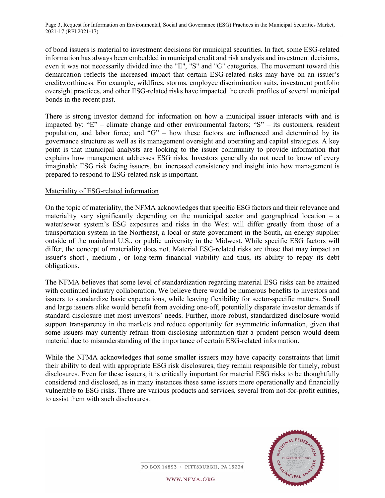of bond issuers is material to investment decisions for municipal securities. In fact, some ESG-related information has always been embedded in municipal credit and risk analysis and investment decisions, even it was not necessarily divided into the "E", "S" and "G" categories. The movement toward this demarcation reflects the increased impact that certain ESG-related risks may have on an issuer's creditworthiness. For example, wildfires, storms, employee discrimination suits, investment portfolio oversight practices, and other ESG-related risks have impacted the credit profiles of several municipal bonds in the recent past.

There is strong investor demand for information on how a municipal issuer interacts with and is impacted by: " $E$ " – climate change and other environmental factors; "S" – its customers, resident population, and labor force; and "G" – how these factors are influenced and determined by its governance structure as well as its management oversight and operating and capital strategies. A key point is that municipal analysts are looking to the issuer community to provide information that explains how management addresses ESG risks. Investors generally do not need to know of every imaginable ESG risk facing issuers, but increased consistency and insight into how management is prepared to respond to ESG-related risk is important.

#### Materiality of ESG-related information

On the topic of materiality, the NFMA acknowledges that specific ESG factors and their relevance and materiality vary significantly depending on the municipal sector and geographical location – a water/sewer system's ESG exposures and risks in the West will differ greatly from those of a transportation system in the Northeast, a local or state government in the South, an energy supplier outside of the mainland U.S., or public university in the Midwest. While specific ESG factors will differ, the concept of materiality does not. Material ESG-related risks are those that may impact an issuer's short-, medium-, or long-term financial viability and thus, its ability to repay its debt obligations.

The NFMA believes that some level of standardization regarding material ESG risks can be attained with continued industry collaboration. We believe there would be numerous benefits to investors and issuers to standardize basic expectations, while leaving flexibility for sector-specific matters. Small and large issuers alike would benefit from avoiding one-off, potentially disparate investor demands if standard disclosure met most investors' needs. Further, more robust, standardized disclosure would support transparency in the markets and reduce opportunity for asymmetric information, given that some issuers may currently refrain from disclosing information that a prudent person would deem material due to misunderstanding of the importance of certain ESG-related information.

While the NFMA acknowledges that some smaller issuers may have capacity constraints that limit their ability to deal with appropriate ESG risk disclosures, they remain responsible for timely, robust disclosures. Even for these issuers, it is critically important for material ESG risks to be thoughtfully considered and disclosed, as in many instances these same issuers more operationally and financially vulnerable to ESG risks. There are various products and services, several from not-for-profit entities, to assist them with such disclosures.



PO BOX 14893 · PITTSBURGH, PA 15234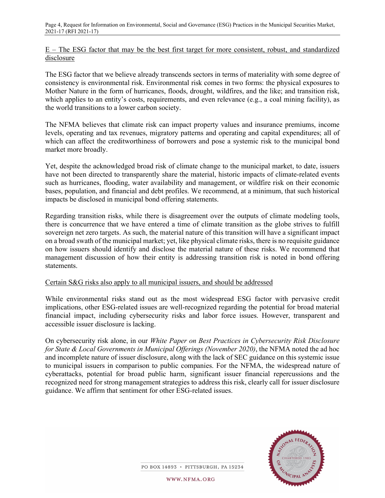E – The ESG factor that may be the best first target for more consistent, robust, and standardized disclosure

The ESG factor that we believe already transcends sectors in terms of materiality with some degree of consistency is environmental risk. Environmental risk comes in two forms: the physical exposures to Mother Nature in the form of hurricanes, floods, drought, wildfires, and the like; and transition risk, which applies to an entity's costs, requirements, and even relevance (e.g., a coal mining facility), as the world transitions to a lower carbon society.

The NFMA believes that climate risk can impact property values and insurance premiums, income levels, operating and tax revenues, migratory patterns and operating and capital expenditures; all of which can affect the creditworthiness of borrowers and pose a systemic risk to the municipal bond market more broadly.

Yet, despite the acknowledged broad risk of climate change to the municipal market, to date, issuers have not been directed to transparently share the material, historic impacts of climate-related events such as hurricanes, flooding, water availability and management, or wildfire risk on their economic bases, population, and financial and debt profiles. We recommend, at a minimum, that such historical impacts be disclosed in municipal bond offering statements.

Regarding transition risks, while there is disagreement over the outputs of climate modeling tools, there is concurrence that we have entered a time of climate transition as the globe strives to fulfill sovereign net zero targets. As such, the material nature of this transition will have a significant impact on a broad swath of the municipal market; yet, like physical climate risks, there is no requisite guidance on how issuers should identify and disclose the material nature of these risks. We recommend that management discussion of how their entity is addressing transition risk is noted in bond offering statements.

### Certain S&G risks also apply to all municipal issuers, and should be addressed

While environmental risks stand out as the most widespread ESG factor with pervasive credit implications, other ESG-related issues are well-recognized regarding the potential for broad material financial impact, including cybersecurity risks and labor force issues. However, transparent and accessible issuer disclosure is lacking.

On cybersecurity risk alone, in our *White Paper on Best Practices in Cybersecurity Risk Disclosure for State & Local Governments in Municipal Offerings (November 2020)*, the NFMA noted the ad hoc and incomplete nature of issuer disclosure, along with the lack of SEC guidance on this systemic issue to municipal issuers in comparison to public companies. For the NFMA, the widespread nature of cyberattacks, potential for broad public harm, significant issuer financial repercussions and the recognized need for strong management strategies to address this risk, clearly call for issuer disclosure guidance. We affirm that sentiment for other ESG-related issues.



PO BOX 14893 · PITTSBURGH, PA 15234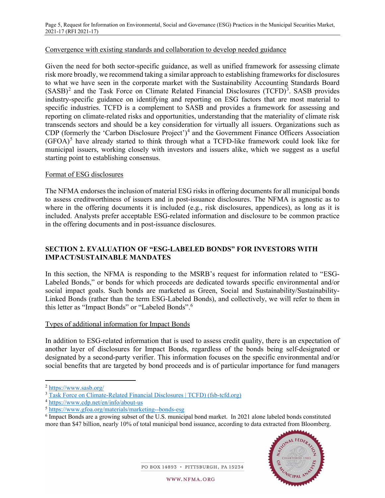#### Convergence with existing standards and collaboration to develop needed guidance

Given the need for both sector-specific guidance, as well as unified framework for assessing climate risk more broadly, we recommend taking a similar approach to establishing frameworks for disclosures to what we have seen in the corporate market with the Sustainability Accounting Standards Board  $(SASB)<sup>2</sup>$  $(SASB)<sup>2</sup>$  $(SASB)<sup>2</sup>$  and the Task Force on Climate Related Financial Disclosures (TCFD)<sup>[3](#page-4-1)</sup>. SASB provides industry-specific guidance on identifying and reporting on ESG factors that are most material to specific industries. TCFD is a complement to SASB and provides a framework for assessing and reporting on climate-related risks and opportunities, understanding that the materiality of climate risk transcends sectors and should be a key consideration for virtually all issuers. Organizations such as CDP (formerly the 'Carbon Disclosure Project')<sup>[4](#page-4-2)</sup> and the Government Finance Officers Association  $(GFOA)^5$  $(GFOA)^5$  have already started to think through what a TCFD-like framework could look like for municipal issuers, working closely with investors and issuers alike, which we suggest as a useful starting point to establishing consensus.

### Format of ESG disclosures

The NFMA endorses the inclusion of material ESG risks in offering documents for all municipal bonds to assess creditworthiness of issuers and in post-issuance disclosures. The NFMA is agnostic as to where in the offering documents it is included (e.g., risk disclosures, appendices), as long as it is included. Analysts prefer acceptable ESG-related information and disclosure to be common practice in the offering documents and in post-issuance disclosures.

# **SECTION 2. EVALUATION OF "ESG-LABELED BONDS" FOR INVESTORS WITH IMPACT/SUSTAINABLE MANDATES**

In this section, the NFMA is responding to the MSRB's request for information related to "ESG-Labeled Bonds," or bonds for which proceeds are dedicated towards specific environmental and/or social impact goals. Such bonds are marketed as Green, Social and Sustainability/Sustainability-Linked Bonds (rather than the term ESG-Labeled Bonds), and collectively, we will refer to them in this letter as "Impact Bonds" or "Labeled Bonds".[6](#page-4-4)

### Types of additional information for Impact Bonds

In addition to ESG-related information that is used to assess credit quality, there is an expectation of another layer of disclosures for Impact Bonds, regardless of the bonds being self-designated or designated by a second-party verifier. This information focuses on the specific environmental and/or social benefits that are targeted by bond proceeds and is of particular importance for fund managers

<span id="page-4-4"></span><sup>6</sup> Impact Bonds are a growing subset of the U.S. municipal bond market. In 2021 alone labeled bonds constituted more than \$47 billion, nearly 10% of total municipal bond issuance, according to data extracted from Bloomberg.



PO BOX 14893 · PITTSBURGH, PA 15234

<span id="page-4-0"></span><sup>2</sup> <https://www.sasb.org/>

<span id="page-4-1"></span><sup>&</sup>lt;sup>3</sup> [Task Force on Climate-Related Financial Disclosures | TCFD\) \(fsb-tcfd.org\)](https://www.fsb-tcfd.org/)

<span id="page-4-2"></span><sup>4</sup> <https://www.cdp.net/en/info/about-us>

<span id="page-4-3"></span><sup>5</sup> <https://www.gfoa.org/materials/marketing--bonds-esg>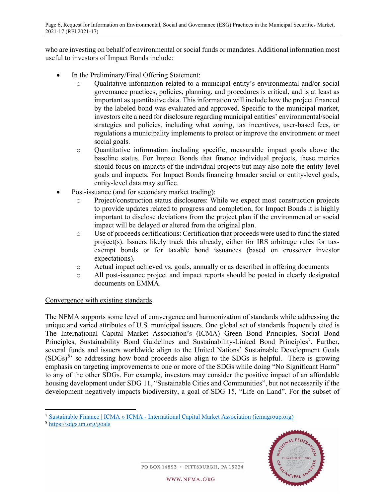who are investing on behalf of environmental or social funds or mandates. Additional information most useful to investors of Impact Bonds include:

- In the Preliminary/Final Offering Statement:
	- o Qualitative information related to a municipal entity's environmental and/or social governance practices, policies, planning, and procedures is critical, and is at least as important as quantitative data. This information will include how the project financed by the labeled bond was evaluated and approved. Specific to the municipal market, investors cite a need for disclosure regarding municipal entities' environmental/social strategies and policies, including what zoning, tax incentives, user-based fees, or regulations a municipality implements to protect or improve the environment or meet social goals.
	- o Quantitative information including specific, measurable impact goals above the baseline status. For Impact Bonds that finance individual projects, these metrics should focus on impacts of the individual projects but may also note the entity-level goals and impacts. For Impact Bonds financing broader social or entity-level goals, entity-level data may suffice.
- Post-issuance (and for secondary market trading):
	- o Project/construction status disclosures: While we expect most construction projects to provide updates related to progress and completion, for Impact Bonds it is highly important to disclose deviations from the project plan if the environmental or social impact will be delayed or altered from the original plan.
	- o Use of proceeds certifications: Certification that proceeds were used to fund the stated project(s). Issuers likely track this already, either for IRS arbitrage rules for taxexempt bonds or for taxable bond issuances (based on crossover investor expectations).
	- o Actual impact achieved vs. goals, annually or as described in offering documents
	- o All post-issuance project and impact reports should be posted in clearly designated documents on EMMA.

### Convergence with existing standards

The NFMA supports some level of convergence and harmonization of standards while addressing the unique and varied attributes of U.S. municipal issuers. One global set of standards frequently cited is The International Capital Market Association's (ICMA) Green Bond Principles, Social Bond Principles, Sustainability Bond Guidelines and Sustainability-Linked Bond Principles<sup>[7](#page-5-0)</sup>. Further, several funds and issuers worldwide align to the United Nations' Sustainable Development Goals  $(SDGs)^{8}$  $(SDGs)^{8}$  $(SDGs)^{8}$  so addressing how bond proceeds also align to the SDGs is helpful. There is growing emphasis on targeting improvements to one or more of the SDGs while doing "No Significant Harm" to any of the other SDGs. For example, investors may consider the positive impact of an affordable housing development under SDG 11, "Sustainable Cities and Communities", but not necessarily if the development negatively impacts biodiversity, a goal of SDG 15, "Life on Land". For the subset of

<span id="page-5-1"></span><sup>8</sup> <https://sdgs.un.org/goals>



PO BOX 14893 · PITTSBURGH, PA 15234

<span id="page-5-0"></span><sup>7</sup> Sustainable Finance | ICMA » ICMA - [International Capital Market Association \(icmagroup.org\)](https://www.icmagroup.org/sustainable-finance/)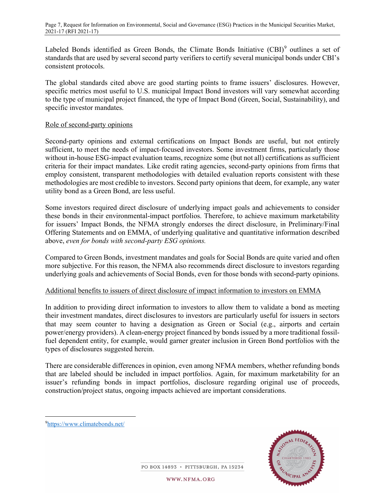Labeled Bonds identified as Green Bonds, the Climate Bonds Initiative (CBI)<sup>[9](#page-6-0)</sup> outlines a set of standards that are used by several second party verifiers to certify several municipal bonds under CBI's consistent protocols.

The global standards cited above are good starting points to frame issuers' disclosures. However, specific metrics most useful to U.S. municipal Impact Bond investors will vary somewhat according to the type of municipal project financed, the type of Impact Bond (Green, Social, Sustainability), and specific investor mandates.

### Role of second-party opinions

Second-party opinions and external certifications on Impact Bonds are useful, but not entirely sufficient, to meet the needs of impact-focused investors. Some investment firms, particularly those without in-house ESG-impact evaluation teams, recognize some (but not all) certifications as sufficient criteria for their impact mandates. Like credit rating agencies, second-party opinions from firms that employ consistent, transparent methodologies with detailed evaluation reports consistent with these methodologies are most credible to investors. Second party opinions that deem, for example, any water utility bond as a Green Bond, are less useful.

Some investors required direct disclosure of underlying impact goals and achievements to consider these bonds in their environmental-impact portfolios. Therefore, to achieve maximum marketability for issuers' Impact Bonds, the NFMA strongly endorses the direct disclosure, in Preliminary/Final Offering Statements and on EMMA, of underlying qualitative and quantitative information described above, *even for bonds with second-party ESG opinions.*

Compared to Green Bonds, investment mandates and goals for Social Bonds are quite varied and often more subjective. For this reason, the NFMA also recommends direct disclosure to investors regarding underlying goals and achievements of Social Bonds, even for those bonds with second-party opinions.

### Additional benefits to issuers of direct disclosure of impact information to investors on EMMA

In addition to providing direct information to investors to allow them to validate a bond as meeting their investment mandates, direct disclosures to investors are particularly useful for issuers in sectors that may seem counter to having a designation as Green or Social (e.g., airports and certain power/energy providers). A clean-energy project financed by bonds issued by a more traditional fossilfuel dependent entity, for example, would garner greater inclusion in Green Bond portfolios with the types of disclosures suggested herein.

There are considerable differences in opinion, even among NFMA members, whether refunding bonds that are labeled should be included in impact portfolios. Again, for maximum marketability for an issuer's refunding bonds in impact portfolios, disclosure regarding original use of proceeds, construction/project status, ongoing impacts achieved are important considerations.



PO BOX 14893 · PITTSBURGH, PA 15234

<span id="page-6-0"></span><sup>9</sup> <https://www.climatebonds.net/>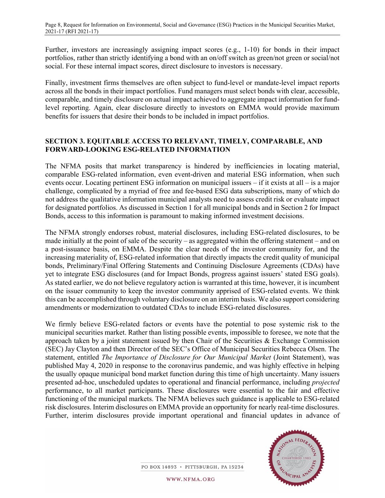Further, investors are increasingly assigning impact scores (e.g., 1-10) for bonds in their impact portfolios, rather than strictly identifying a bond with an on/off switch as green/not green or social/not social. For these internal impact scores, direct disclosure to investors is necessary.

Finally, investment firms themselves are often subject to fund-level or mandate-level impact reports across all the bonds in their impact portfolios. Fund managers must select bonds with clear, accessible, comparable, and timely disclosure on actual impact achieved to aggregate impact information for fundlevel reporting. Again, clear disclosure directly to investors on EMMA would provide maximum benefits for issuers that desire their bonds to be included in impact portfolios.

# **SECTION 3. EQUITABLE ACCESS TO RELEVANT, TIMELY, COMPARABLE, AND FORWARD-LOOKING ESG-RELATED INFORMATION**

The NFMA posits that market transparency is hindered by inefficiencies in locating material, comparable ESG-related information, even event-driven and material ESG information, when such events occur. Locating pertinent ESG information on municipal issuers – if it exists at all – is a major challenge, complicated by a myriad of free and fee-based ESG data subscriptions, many of which do not address the qualitative information municipal analysts need to assess credit risk or evaluate impact for designated portfolios. As discussed in Section 1 for all municipal bonds and in Section 2 for Impact Bonds, access to this information is paramount to making informed investment decisions.

The NFMA strongly endorses robust, material disclosures, including ESG-related disclosures, to be made initially at the point of sale of the security – as aggregated within the offering statement – and on a post-issuance basis, on EMMA. Despite the clear needs of the investor community for, and the increasing materiality of, ESG-related information that directly impacts the credit quality of municipal bonds, Preliminary/Final Offering Statements and Continuing Disclosure Agreements (CDAs) have yet to integrate ESG disclosures (and for Impact Bonds, progress against issuers' stated ESG goals). As stated earlier, we do not believe regulatory action is warranted at this time, however, it is incumbent on the issuer community to keep the investor community apprised of ESG-related events. We think this can be accomplished through voluntary disclosure on an interim basis. We also support considering amendments or modernization to outdated CDAs to include ESG-related disclosures.

We firmly believe ESG-related factors or events have the potential to pose systemic risk to the municipal securities market. Rather than listing possible events, impossible to foresee, we note that the approach taken by a joint statement issued by then Chair of the Securities  $\&$  Exchange Commission (SEC) Jay Clayton and then Director of the SEC's Office of Municipal Securities Rebecca Olsen. The statement, entitled *The Importance of Disclosure for Our Municipal Market* (Joint Statement), was published May 4, 2020 in response to the coronavirus pandemic, and was highly effective in helping the usually opaque municipal bond market function during this time of high uncertainty. Many issuers presented ad-hoc, unscheduled updates to operational and financial performance, including *projected* performance, to all market participants. These disclosures were essential to the fair and effective functioning of the municipal markets. The NFMA believes such guidance is applicable to ESG-related risk disclosures. Interim disclosures on EMMA provide an opportunity for nearly real-time disclosures. Further, interim disclosures provide important operational and financial updates in advance of

W<sub>CIPAL</sub>

PO BOX 14893 · PITTSBURGH, PA 15234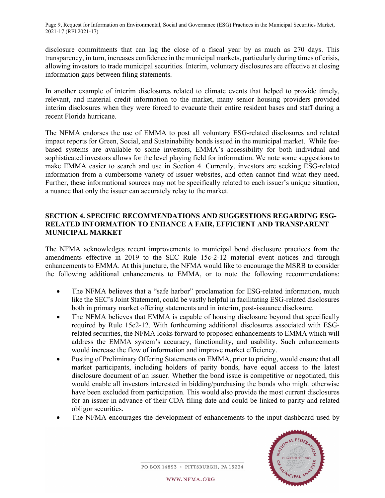disclosure commitments that can lag the close of a fiscal year by as much as 270 days. This transparency, in turn, increases confidence in the municipal markets, particularly during times of crisis, allowing investors to trade municipal securities. Interim, voluntary disclosures are effective at closing information gaps between filing statements.

In another example of interim disclosures related to climate events that helped to provide timely, relevant, and material credit information to the market, many senior housing providers provided interim disclosures when they were forced to evacuate their entire resident bases and staff during a recent Florida hurricane.

The NFMA endorses the use of EMMA to post all voluntary ESG-related disclosures and related impact reports for Green, Social, and Sustainability bonds issued in the municipal market. While feebased systems are available to some investors, EMMA's accessibility for both individual and sophisticated investors allows for the level playing field for information. We note some suggestions to make EMMA easier to search and use in Section 4. Currently, investors are seeking ESG-related information from a cumbersome variety of issuer websites, and often cannot find what they need. Further, these informational sources may not be specifically related to each issuer's unique situation, a nuance that only the issuer can accurately relay to the market.

## **SECTION 4. SPECIFIC RECOMMENDATIONS AND SUGGESTIONS REGARDING ESG-RELATED INFORMATION TO ENHANCE A FAIR, EFFICIENT AND TRANSPARENT MUNICIPAL MARKET**

The NFMA acknowledges recent improvements to municipal bond disclosure practices from the amendments effective in 2019 to the SEC Rule 15c-2-12 material event notices and through enhancements to EMMA. At this juncture, the NFMA would like to encourage the MSRB to consider the following additional enhancements to EMMA, or to note the following recommendations:

- The NFMA believes that a "safe harbor" proclamation for ESG-related information, much like the SEC's Joint Statement, could be vastly helpful in facilitating ESG-related disclosures both in primary market offering statements and in interim, post-issuance disclosure.
- The NFMA believes that EMMA is capable of housing disclosure beyond that specifically required by Rule 15c2-12. With forthcoming additional disclosures associated with ESGrelated securities, the NFMA looks forward to proposed enhancements to EMMA which will address the EMMA system's accuracy, functionality, and usability. Such enhancements would increase the flow of information and improve market efficiency.
- Posting of Preliminary Offering Statements on EMMA, prior to pricing, would ensure that all market participants, including holders of parity bonds, have equal access to the latest disclosure document of an issuer. Whether the bond issue is competitive or negotiated, this would enable all investors interested in bidding/purchasing the bonds who might otherwise have been excluded from participation. This would also provide the most current disclosures for an issuer in advance of their CDA filing date and could be linked to parity and related obligor securities.
- The NFMA encourages the development of enhancements to the input dashboard used by



PO BOX 14893 · PITTSBURGH, PA 15234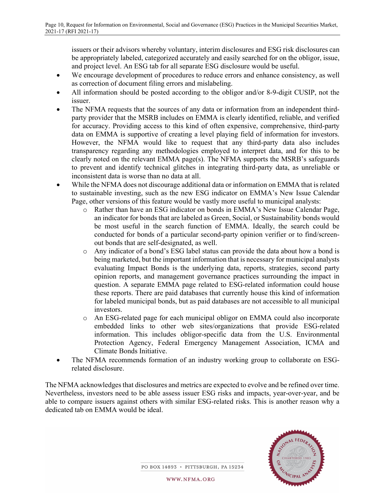issuers or their advisors whereby voluntary, interim disclosures and ESG risk disclosures can be appropriately labeled, categorized accurately and easily searched for on the obligor, issue, and project level. An ESG tab for all separate ESG disclosure would be useful.

- We encourage development of procedures to reduce errors and enhance consistency, as well as correction of document filing errors and mislabeling.
- All information should be posted according to the obligor and/or 8-9-digit CUSIP, not the issuer.
- The NFMA requests that the sources of any data or information from an independent thirdparty provider that the MSRB includes on EMMA is clearly identified, reliable, and verified for accuracy. Providing access to this kind of often expensive, comprehensive, third-party data on EMMA is supportive of creating a level playing field of information for investors. However, the NFMA would like to request that any third-party data also includes transparency regarding any methodologies employed to interpret data, and for this to be clearly noted on the relevant EMMA page(s). The NFMA supports the MSRB's safeguards to prevent and identify technical glitches in integrating third-party data, as unreliable or inconsistent data is worse than no data at all.
- While the NFMA does not discourage additional data or information on EMMA that is related to sustainable investing, such as the new ESG indicator on EMMA's New Issue Calendar Page, other versions of this feature would be vastly more useful to municipal analysts:
	- o Rather than have an ESG indicator on bonds in EMMA's New Issue Calendar Page, an indicator for bonds that are labeled as Green, Social, or Sustainability bonds would be most useful in the search function of EMMA. Ideally, the search could be conducted for bonds of a particular second-party opinion verifier or to find/screenout bonds that are self-designated, as well.
	- o Any indicator of a bond's ESG label status can provide the data about how a bond is being marketed, but the important information that is necessary for municipal analysts evaluating Impact Bonds is the underlying data, reports, strategies, second party opinion reports, and management governance practices surrounding the impact in question. A separate EMMA page related to ESG-related information could house these reports. There are paid databases that currently house this kind of information for labeled municipal bonds, but as paid databases are not accessible to all municipal investors.
	- o An ESG-related page for each municipal obligor on EMMA could also incorporate embedded links to other web sites/organizations that provide ESG-related information. This includes obligor-specific data from the U.S. Environmental Protection Agency, Federal Emergency Management Association, ICMA and Climate Bonds Initiative.
- The NFMA recommends formation of an industry working group to collaborate on ESGrelated disclosure.

The NFMA acknowledges that disclosures and metrics are expected to evolve and be refined over time. Nevertheless, investors need to be able assess issuer ESG risks and impacts, year-over-year, and be able to compare issuers against others with similar ESG-related risks. This is another reason why a dedicated tab on EMMA would be ideal.



PO BOX 14893 · PITTSBURGH, PA 15234